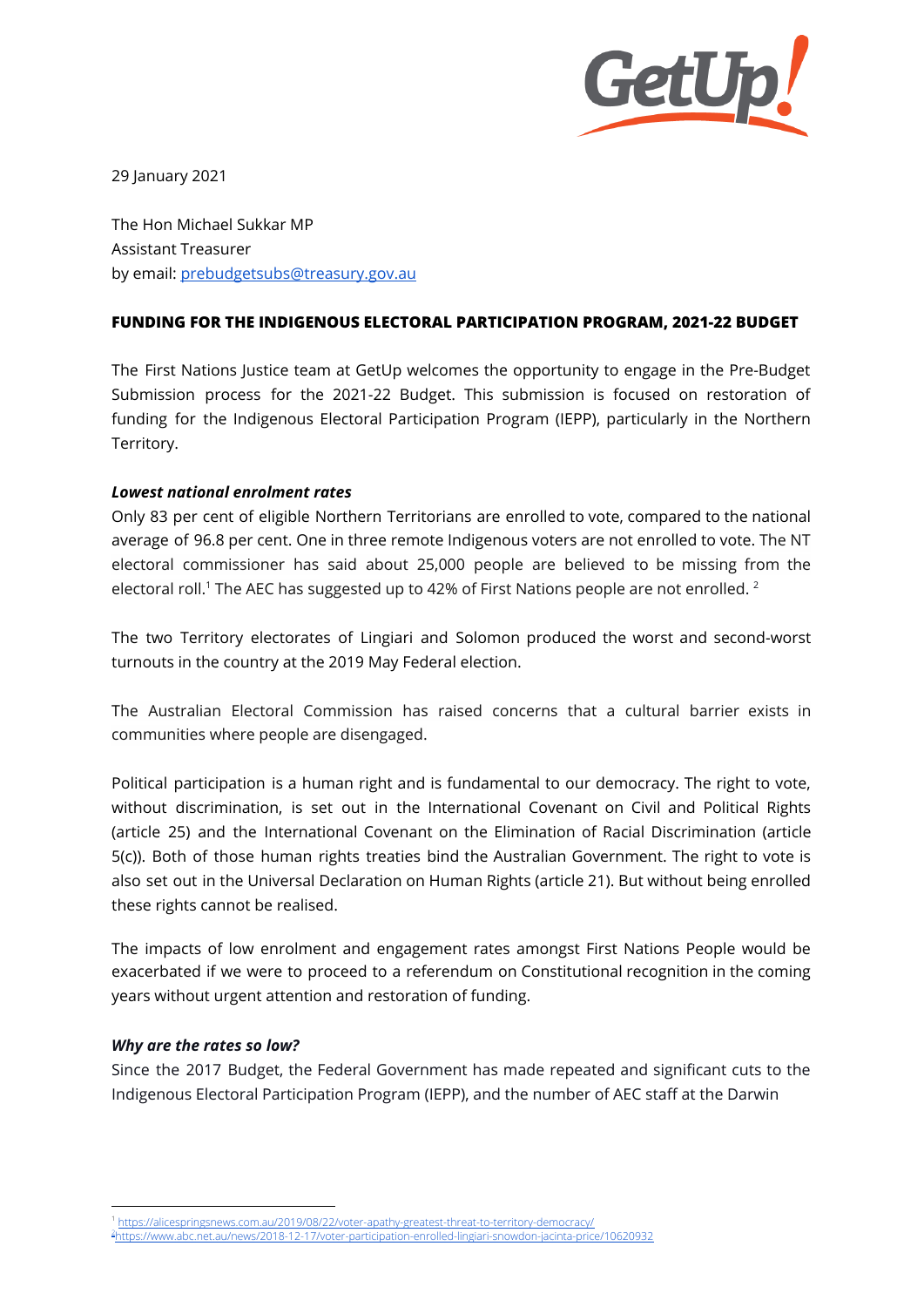

29 January 2021

The Hon Michael Sukkar MP Assistant Treasurer by email: [prebudgetsubs@treasury.gov.au](mailto:prebudgetsubs@treasury.gov.au)

## **FUNDING FOR THE INDIGENOUS ELECTORAL PARTICIPATION PROGRAM, 2021-22 BUDGET**

The First Nations Justice team at GetUp welcomes the opportunity to engage in the Pre-Budget Submission process for the 2021-22 Budget. This submission is focused on restoration of funding for the Indigenous Electoral Participation Program (IEPP), particularly in the Northern Territory.

### *Lowest national enrolment rates*

Only 83 per cent of eligible Northern Territorians are enrolled to vote, compared to the national average of 96.8 per cent. One in three remote Indigenous voters are not enrolled to vote. The NT electoral commissioner has said about 25,000 people are believed to be missing from the electoral roll. $^{\rm 1}$  The AEC has suggested up to 42% of First Nations people are not enrolled.  $^{\rm 2}$ 

The two Territory electorates of Lingiari and Solomon produced the worst and second-worst turnouts in the country at the 2019 May Federal election.

The Australian Electoral Commission has raised concerns that a cultural barrier exists in communities where people are disengaged.

Political participation is a human right and is fundamental to our democracy. The right to vote, without discrimination, is set out in the International Covenant on Civil and Political Rights (article 25) and the International Covenant on the Elimination of Racial Discrimination (article 5(c)). Both of those human rights treaties bind the Australian Government. The right to vote is also set out in the Universal Declaration on Human Rights (article 21). But without being enrolled these rights cannot be realised.

The impacts of low enrolment and engagement rates amongst First Nations People would be exacerbated if we were to proceed to a referendum on Constitutional recognition in the coming years without urgent attention and restoration of funding.

#### *Why are the rates so low?*

Since the 2017 Budget, the Federal Government has made repeated and significant cuts to the Indigenous Electoral Participation Program (IEPP), and the number of AEC staff at the Darwin

https://alicespringsnews.com.au/2019/08/22/voter-apathy-greatest-threat-to-territory-democracy

<sup>2</sup><https://www.abc.net.au/news/2018-12-17/voter-participation-enrolled-lingiari-snowdon-jacinta-price/10620932>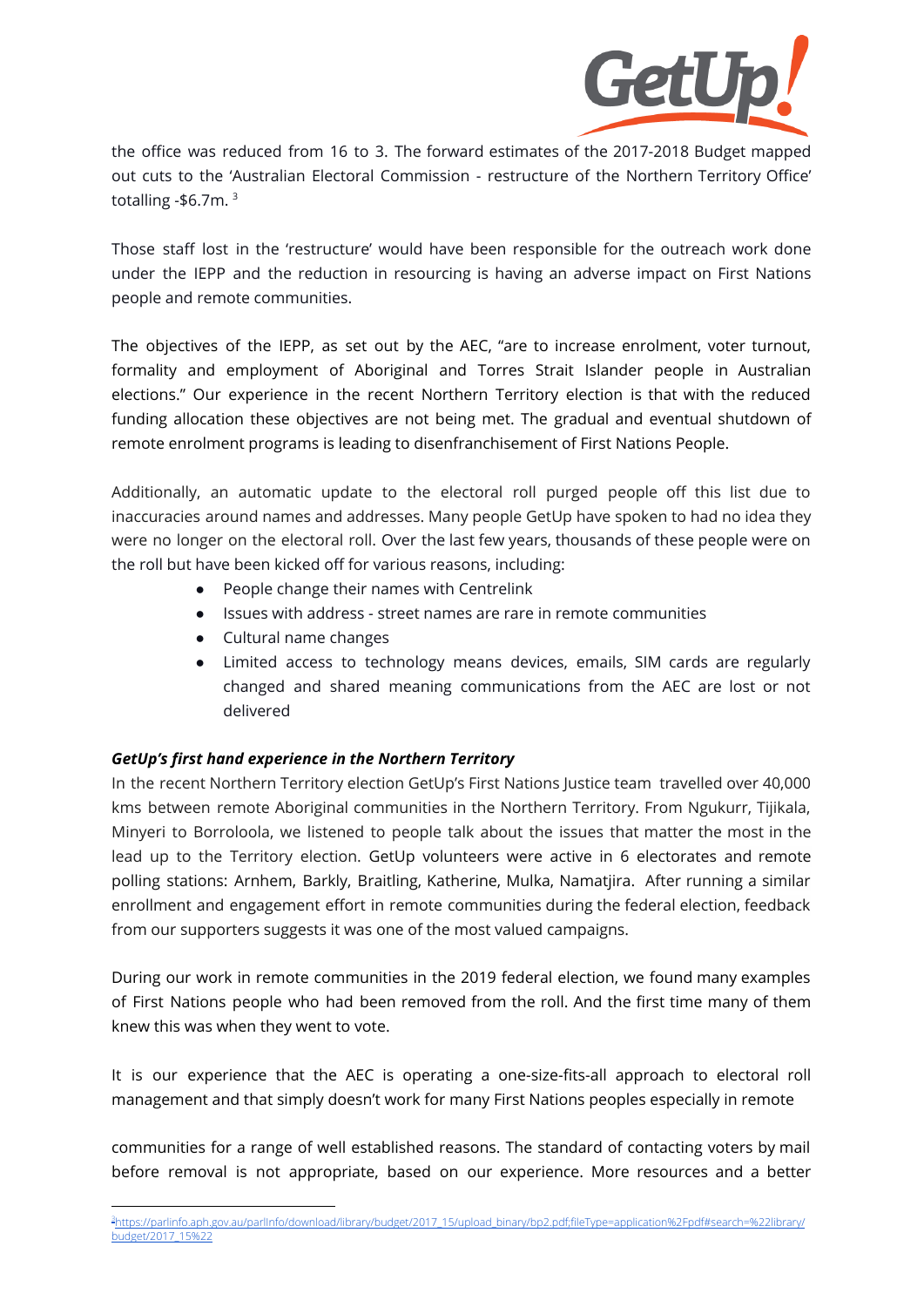

the office was reduced from 16 to 3. The forward estimates of the 2017-2018 Budget mapped out cuts to the 'Australian Electoral Commission - restructure of the Northern Territory Office' totalling -\$6.7m. 3

Those staff lost in the 'restructure' would have been responsible for the outreach work done under the IEPP and the reduction in resourcing is having an adverse impact on First Nations people and remote communities.

The objectives of the IEPP, as set out by the AEC, "are to increase enrolment, voter turnout, formality and employment of Aboriginal and Torres Strait Islander people in Australian elections." Our experience in the recent Northern Territory election is that with the reduced funding allocation these objectives are not being met. The gradual and eventual shutdown of remote enrolment programs is leading to disenfranchisement of First Nations People.

Additionally, an automatic update to the electoral roll purged people off this list due to inaccuracies around names and addresses. Many people GetUp have spoken to had no idea they were no longer on the electoral roll. Over the last few years, thousands of these people were on the roll but have been kicked off for various reasons, including:

- People change their names with Centrelink
- Issues with address street names are rare in remote communities
- Cultural name changes
- Limited access to technology means devices, emails, SIM cards are regularly changed and shared meaning communications from the AEC are lost or not delivered

# *GetUp's first hand experience in the Northern Territory*

In the recent Northern Territory election GetUp's First Nations Justice team travelled over 40,000 kms between remote Aboriginal communities in the Northern Territory. From Ngukurr, Tijikala, Minyeri to Borroloola, we listened to people talk about the issues that matter the most in the lead up to the Territory election. GetUp volunteers were active in 6 electorates and remote polling stations: Arnhem, Barkly, Braitling, Katherine, Mulka, Namatjira. After running a similar enrollment and engagement effort in remote communities during the federal election, feedback from our supporters suggests it was one of the most valued campaigns.

During our work in remote communities in the 2019 federal election, we found many examples of First Nations people who had been removed from the roll. And the first time many of them knew this was when they went to vote.

It is our experience that the AEC is operating a one-size-fits-all approach to electoral roll management and that simply doesn't work for many First Nations peoples especially in remote

communities for a range of well established reasons. The standard of contacting voters by mail before removal is not appropriate, based on our experience. More resources and a better

<sup>3</sup>[https://parlinfo.aph.gov.au/parlInfo/download/library/budget/2017\\_15/upload\\_binary/bp2.pdf;fileType=application%2Fpdf#search=%22library/](https://parlinfo.aph.gov.au/parlInfo/download/library/budget/2017_15/upload_binary/bp2.pdf;fileType=application%2Fpdf#search=%22library/budget/2017_15%22) [budget/2017\\_15%22](https://parlinfo.aph.gov.au/parlInfo/download/library/budget/2017_15/upload_binary/bp2.pdf;fileType=application%2Fpdf#search=%22library/budget/2017_15%22)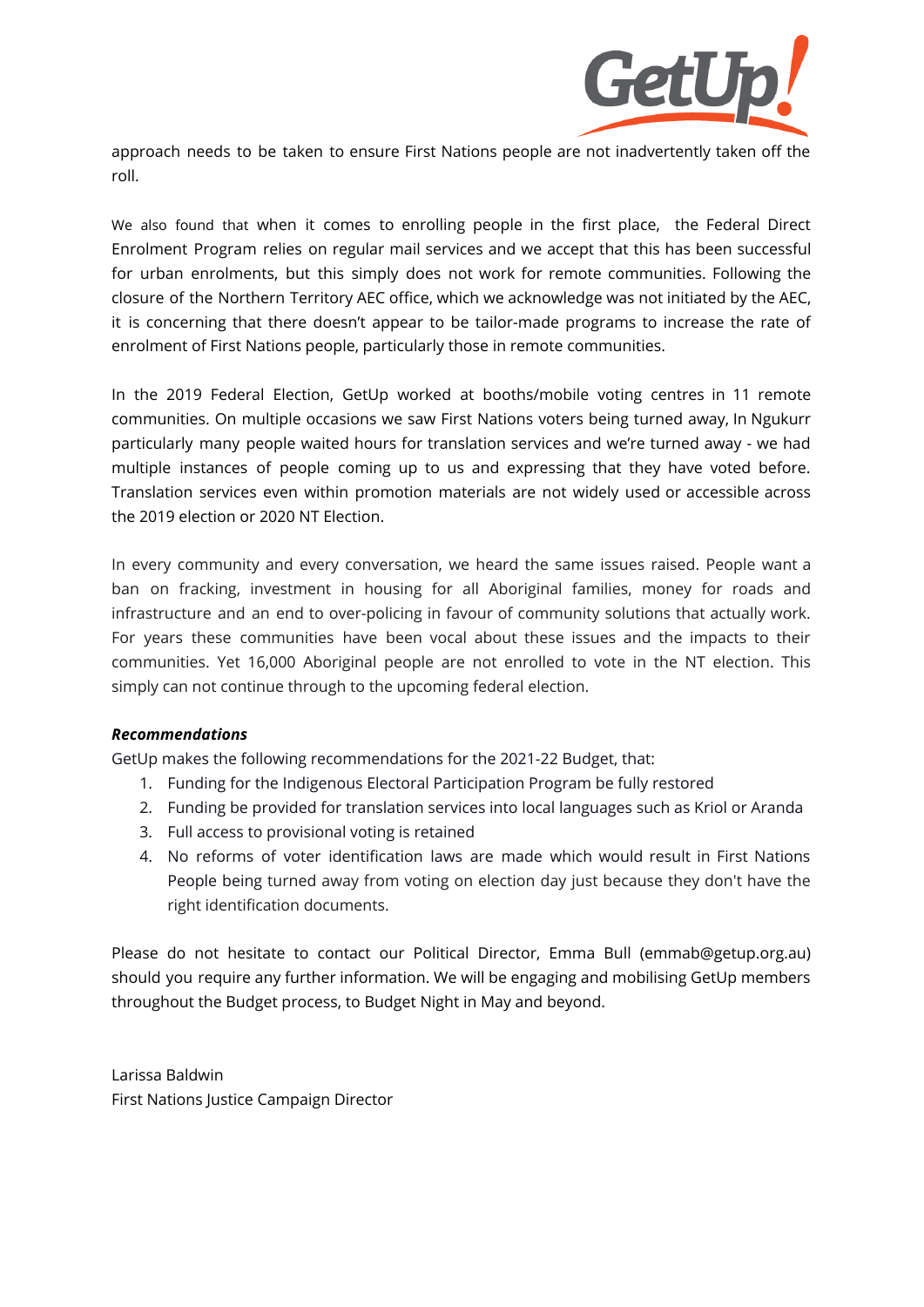

approach needs to be taken to ensure First Nations people are not inadvertently taken off the roll.

We also found that when it comes to enrolling people in the first place, the Federal Direct Enrolment Program relies on regular mail services and we accept that this has been successful for urban enrolments, but this simply does not work for remote communities. Following the closure of the Northern Territory AEC office, which we acknowledge was not initiated by the AEC, it is concerning that there doesn't appear to be tailor-made programs to increase the rate of enrolment of First Nations people, particularly those in remote communities.

In the 2019 Federal Election, GetUp worked at booths/mobile voting centres in 11 remote communities. On multiple occasions we saw First Nations voters being turned away, In Ngukurr particularly many people waited hours for translation services and we're turned away - we had multiple instances of people coming up to us and expressing that they have voted before. Translation services even within promotion materials are not widely used or accessible across the 2019 election or 2020 NT Election.

In every community and every conversation, we heard the same issues raised. People want a ban on fracking, investment in housing for all Aboriginal families, money for roads and infrastructure and an end to over-policing in favour of community solutions that actually work. For years these communities have been vocal about these issues and the impacts to their communities. Yet 16,000 Aboriginal people are not enrolled to vote in the NT election. This simply can not continue through to the upcoming federal election.

# *Recommendations*

GetUp makes the following recommendations for the 2021-22 Budget, that:

- 1. Funding for the Indigenous Electoral Participation Program be fully restored
- 2. Funding be provided for translation services into local languages such as Kriol or Aranda
- 3. Full access to provisional voting is retained
- 4. No reforms of voter identification laws are made which would result in First Nations People being turned away from voting on election day just because they don't have the right identification documents.

Please do not hesitate to contact our Political Director, Emma Bull (emmab@getup.org.au) should you require any further information. We will be engaging and mobilising GetUp members throughout the Budget process, to Budget Night in May and beyond.

Larissa Baldwin First Nations Justice Campaign Director